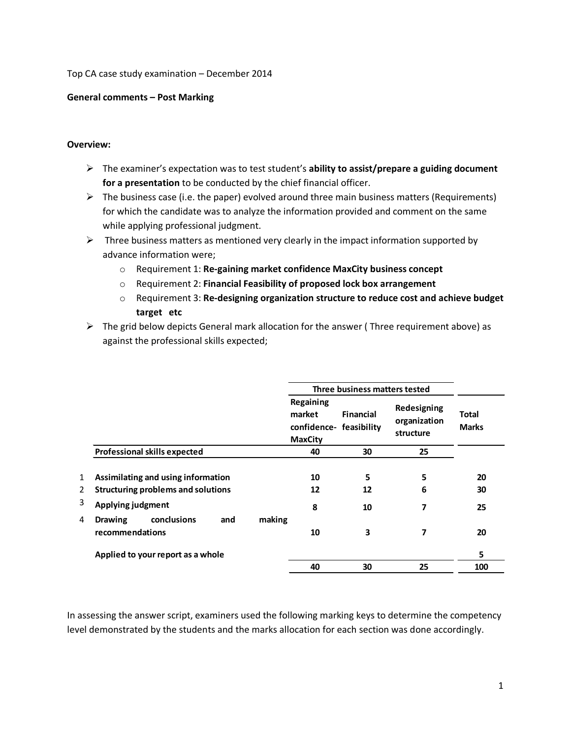Top CA case study examination – December 2014

## **General comments – Post Marking**

## **Overview:**

- The examiner's expectation was to test student's **ability to assist/prepare a guiding document for a presentation** to be conducted by the chief financial officer.
- $\triangleright$  The business case (i.e. the paper) evolved around three main business matters (Requirements) for which the candidate was to analyze the information provided and comment on the same while applying professional judgment.
- $\triangleright$  Three business matters as mentioned very clearly in the impact information supported by advance information were;
	- o Requirement 1: **Re-gaining market confidence MaxCity business concept**
	- o Requirement 2: **Financial Feasibility of proposed lock box arrangement**
	- o Requirement 3: **Re-designing organization structure to reduce cost and achieve budget target etc**
- $\triangleright$  The grid below depicts General mark allocation for the answer (Three requirement above) as against the professional skills expected;

|   |                                                         | Three business matters tested |                                                                  |                  |                                          |                              |
|---|---------------------------------------------------------|-------------------------------|------------------------------------------------------------------|------------------|------------------------------------------|------------------------------|
|   |                                                         |                               | Regaining<br>market<br>confidence- feasibility<br><b>MaxCity</b> | <b>Financial</b> | Redesigning<br>organization<br>structure | <b>Total</b><br><b>Marks</b> |
|   | <b>Professional skills expected</b>                     |                               | 40                                                               | 30               | 25                                       |                              |
| 1 | Assimilating and using information                      |                               | 10                                                               | 5                | 5                                        | 20                           |
| 2 | Structuring problems and solutions                      |                               | 12                                                               | 12               | 6                                        | 30                           |
| 3 | <b>Applying judgment</b>                                |                               | 8                                                                | 10               | 7                                        | 25                           |
| 4 | conclusions<br><b>Drawing</b><br>and<br>recommendations | making                        | 10                                                               | 3                | 7                                        | 20                           |
|   | Applied to your report as a whole                       |                               |                                                                  |                  |                                          | 5                            |
|   |                                                         |                               | 40                                                               | 30               | 25                                       | 100                          |

In assessing the answer script, examiners used the following marking keys to determine the competency level demonstrated by the students and the marks allocation for each section was done accordingly.